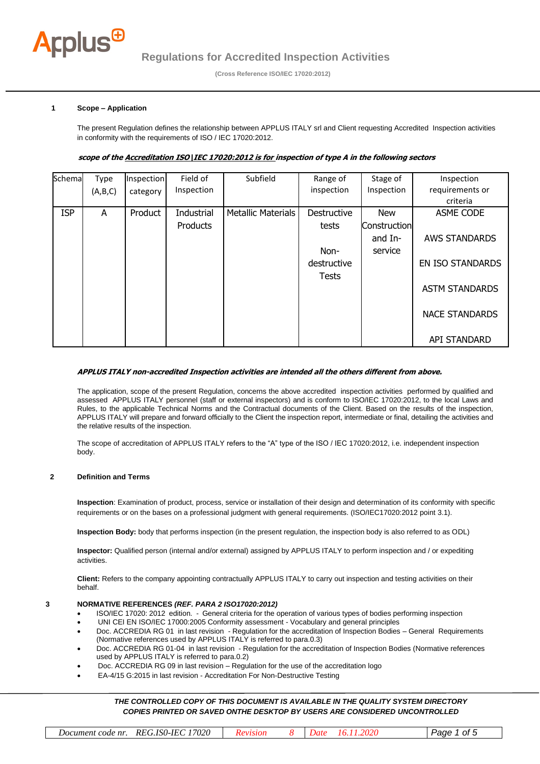

 **(Cross Reference ISO/IEC 17020:2012)** 

# **1 Scope – Application**

The present Regulation defines the relationship between APPLUS ITALY srl and Client requesting Accredited Inspection activities in conformity with the requirements of ISO / IEC 17020:2012.

# **scope of the Accreditation ISO\IEC 17020:2012 is for inspection of type A in the following sectors**

| Schema     | Type    | Inspection | Field of   | Subfield                  | Range of     | Stage of     | Inspection              |
|------------|---------|------------|------------|---------------------------|--------------|--------------|-------------------------|
|            | (A,B,C) | category   | Inspection |                           | inspection   | Inspection   | requirements or         |
|            |         |            |            |                           |              |              | criteria                |
| <b>ISP</b> | A       | Product    | Industrial | <b>Metallic Materials</b> | Destructive  | <b>New</b>   | ASME CODE               |
|            |         |            | Products   |                           | tests        | Construction |                         |
|            |         |            |            |                           |              | and In-      | <b>AWS STANDARDS</b>    |
|            |         |            |            |                           | Non-         | service      |                         |
|            |         |            |            |                           | destructive  |              | <b>EN ISO STANDARDS</b> |
|            |         |            |            |                           | <b>Tests</b> |              |                         |
|            |         |            |            |                           |              |              | <b>ASTM STANDARDS</b>   |
|            |         |            |            |                           |              |              |                         |
|            |         |            |            |                           |              |              | <b>NACE STANDARDS</b>   |
|            |         |            |            |                           |              |              |                         |
|            |         |            |            |                           |              |              | API STANDARD            |

# **APPLUS ITALY non-accredited Inspection activities are intended all the others different from above.**

The application, scope of the present Regulation, concerns the above accredited inspection activities performed by qualified and assessed APPLUS ITALY personnel (staff or external inspectors) and is conform to ISO/IEC 17020:2012, to the local Laws and Rules, to the applicable Technical Norms and the Contractual documents of the Client. Based on the results of the inspection, APPLUS ITALY will prepare and forward officially to the Client the inspection report, intermediate or final, detailing the activities and the relative results of the inspection.

The scope of accreditation of APPLUS ITALY refers to the "A" type of the ISO / IEC 17020:2012, i.e. independent inspection body.

# **2 Definition and Terms**

**Inspection**: Examination of product, process, service or installation of their design and determination of its conformity with specific requirements or on the bases on a professional judgment with general requirements. (ISO/IEC17020:2012 point 3.1).

**Inspection Body:** body that performs inspection (in the present regulation, the inspection body is also referred to as ODL)

**Inspector:** Qualified person (internal and/or external) assigned by APPLUS ITALY to perform inspection and / or expediting activities.

**Client:** Refers to the company appointing contractually APPLUS ITALY to carry out inspection and testing activities on their behalf.

# **<sup>3</sup> NORMATIVE REFERENCES** *(REF. PARA 2 ISO17020:2012)*

- ISO/IEC 17020: 2012 edition. General criteria for the operation of various types of bodies performing inspection
- UNI CEI EN ISO/IEC 17000:2005 Conformity assessment Vocabulary and general principles
- Doc. ACCREDIA RG 01 in last revision Regulation for the accreditation of Inspection Bodies General Requirements (Normative references used by APPLUS ITALY is referred to para.0.3)
- Doc. ACCREDIA RG 01-04 in last revision Regulation for the accreditation of Inspection Bodies (Normative references used by APPLUS ITALY is referred to para.0.2)
- Doc. ACCREDIA RG 09 in last revision Regulation for the use of the accreditation logo
- EA-4/15 G:2015 in last revision Accreditation For Non-Destructive Testing

| code nr<br>Document | '7020<br>ILI<br>REG.ISO-<br>≔ <i>гг</i> л.<br>$\sim$ | 77 P. | $\overline{\phantom{a}}$ | Οİ<br>א זב |
|---------------------|------------------------------------------------------|-------|--------------------------|------------|
|                     |                                                      |       |                          |            |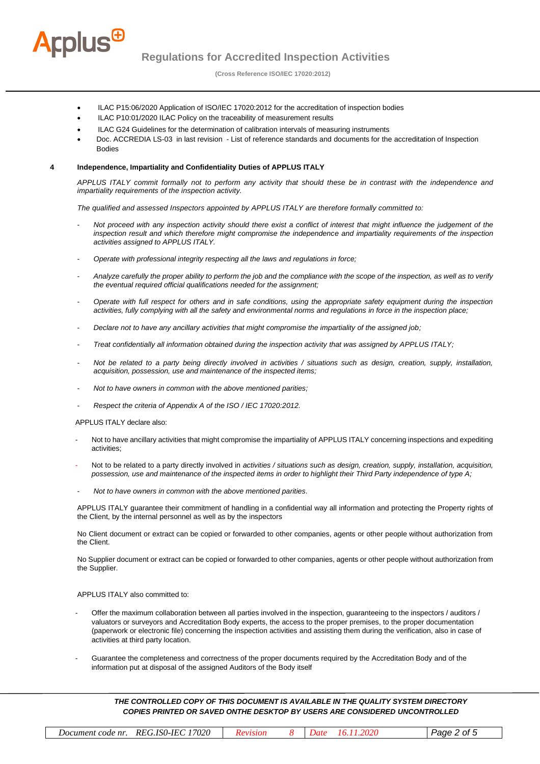

**Regulations for Accredited Inspection Activities** 

 **(Cross Reference ISO/IEC 17020:2012)** 

- ILAC P15:06/2020 Application of ISO/IEC 17020:2012 for the accreditation of inspection bodies
- ILAC P10:01/2020 ILAC Policy on the traceability of measurement results
- ILAC G24 Guidelines for the determination of calibration intervals of measuring instruments
- Doc. ACCREDIA LS-03 in last revision List of reference standards and documents for the accreditation of Inspection Bodies

#### **4 Independence, Impartiality and Confidentiality Duties of APPLUS ITALY**

*APPLUS ITALY commit formally not to perform any activity that should these be in contrast with the independence and impartiality requirements of the inspection activity.*

*The qualified and assessed Inspectors appointed by APPLUS ITALY are therefore formally committed to:* 

- *Not proceed with any inspection activity should there exist a conflict of interest that might influence the judgement of the inspection result and which therefore might compromise the independence and impartiality requirements of the inspection activities assigned to APPLUS ITALY.*
- *Operate with professional integrity respecting all the laws and regulations in force;*
- *Analyze carefully the proper ability to perform the job and the compliance with the scope of the inspection, as well as to verify the eventual required official qualifications needed for the assignment;*
- *Operate with full respect for others and in safe conditions, using the appropriate safety equipment during the inspection activities, fully complying with all the safety and environmental norms and regulations in force in the inspection place;*
- *Declare not to have any ancillary activities that might compromise the impartiality of the assigned job;*
- *Treat confidentially all information obtained during the inspection activity that was assigned by APPLUS ITALY;*
- *Not be related to a party being directly involved in activities / situations such as design, creation, supply, installation, acquisition, possession, use and maintenance of the inspected items;*
- *Not to have owners in common with the above mentioned parities;*
- *Respect the criteria of Appendix A of the ISO / IEC 17020:2012.*

APPLUS ITALY declare also:

- Not to have ancillary activities that might compromise the impartiality of APPLUS ITALY concerning inspections and expediting activities;
- Not to be related to a party directly involved in *activities / situations such as design, creation, supply, installation, acquisition, possession, use and maintenance of the inspected items in order to highlight their Third Party independence of type A;*
- *Not to have owners in common with the above mentioned parities.*

APPLUS ITALY guarantee their commitment of handling in a confidential way all information and protecting the Property rights of the Client, by the internal personnel as well as by the inspectors

No Client document or extract can be copied or forwarded to other companies, agents or other people without authorization from the Client.

No Supplier document or extract can be copied or forwarded to other companies, agents or other people without authorization from the Supplier.

#### APPLUS ITALY also committed to:

- Offer the maximum collaboration between all parties involved in the inspection, guaranteeing to the inspectors / auditors / valuators or surveyors and Accreditation Body experts, the access to the proper premises, to the proper documentation (paperwork or electronic file) concerning the inspection activities and assisting them during the verification, also in case of activities at third party location.
- Guarantee the completeness and correctness of the proper documents required by the Accreditation Body and of the information put at disposal of the assigned Auditors of the Body itself

| 17020<br><i>REG.ISO-IEC</i><br>Document code nr. | <b>RP</b> |  |  | Page<br>' ot |
|--------------------------------------------------|-----------|--|--|--------------|
|--------------------------------------------------|-----------|--|--|--------------|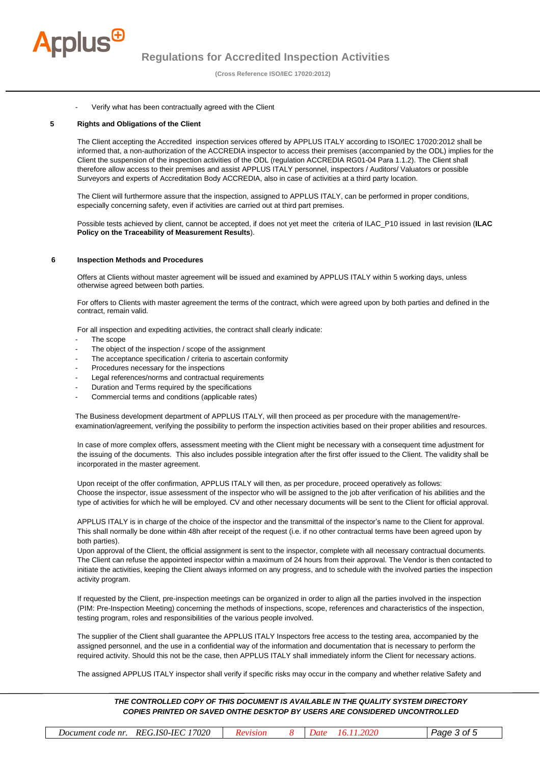

 **(Cross Reference ISO/IEC 17020:2012)** 

## Verify what has been contractually agreed with the Client

# **5 Rights and Obligations of the Client**

The Client accepting the Accredited inspection services offered by APPLUS ITALY according to ISO/IEC 17020:2012 shall be informed that, a non-authorization of the ACCREDIA inspector to access their premises (accompanied by the ODL) implies for the Client the suspension of the inspection activities of the ODL (regulation ACCREDIA RG01-04 Para 1.1.2). The Client shall therefore allow access to their premises and assist APPLUS ITALY personnel, inspectors / Auditors/ Valuators or possible Surveyors and experts of Accreditation Body ACCREDIA, also in case of activities at a third party location.

The Client will furthermore assure that the inspection, assigned to APPLUS ITALY, can be performed in proper conditions, especially concerning safety, even if activities are carried out at third part premises.

Possible tests achieved by client, cannot be accepted, if does not yet meet the criteria of ILAC\_P10 issued in last revision (**ILAC Policy on the Traceability of Measurement Results**).

#### **6 Inspection Methods and Procedures**

Offers at Clients without master agreement will be issued and examined by APPLUS ITALY within 5 working days, unless otherwise agreed between both parties.

For offers to Clients with master agreement the terms of the contract, which were agreed upon by both parties and defined in the contract, remain valid.

For all inspection and expediting activities, the contract shall clearly indicate:

- The scope
- The object of the inspection / scope of the assignment
- The acceptance specification / criteria to ascertain conformity
- Procedures necessary for the inspections
- Legal references/norms and contractual requirements
- Duration and Terms required by the specifications
- Commercial terms and conditions (applicable rates)

The Business development department of APPLUS ITALY, will then proceed as per procedure with the management/reexamination/agreement, verifying the possibility to perform the inspection activities based on their proper abilities and resources.

In case of more complex offers, assessment meeting with the Client might be necessary with a consequent time adjustment for the issuing of the documents. This also includes possible integration after the first offer issued to the Client. The validity shall be incorporated in the master agreement.

Upon receipt of the offer confirmation, APPLUS ITALY will then, as per procedure, proceed operatively as follows: Choose the inspector, issue assessment of the inspector who will be assigned to the job after verification of his abilities and the type of activities for which he will be employed. CV and other necessary documents will be sent to the Client for official approval.

APPLUS ITALY is in charge of the choice of the inspector and the transmittal of the inspector's name to the Client for approval. This shall normally be done within 48h after receipt of the request (i.e. if no other contractual terms have been agreed upon by both parties).

Upon approval of the Client, the official assignment is sent to the inspector, complete with all necessary contractual documents. The Client can refuse the appointed inspector within a maximum of 24 hours from their approval. The Vendor is then contacted to initiate the activities, keeping the Client always informed on any progress, and to schedule with the involved parties the inspection activity program.

If requested by the Client, pre-inspection meetings can be organized in order to align all the parties involved in the inspection (PIM: Pre-Inspection Meeting) concerning the methods of inspections, scope, references and characteristics of the inspection, testing program, roles and responsibilities of the various people involved.

The supplier of the Client shall guarantee the APPLUS ITALY Inspectors free access to the testing area, accompanied by the assigned personnel, and the use in a confidential way of the information and documentation that is necessary to perform the required activity. Should this not be the case, then APPLUS ITALY shall immediately inform the Client for necessary actions.

The assigned APPLUS ITALY inspector shall verify if specific risks may occur in the company and whether relative Safety and

| Document code nr. REG.ISO-IEC 17020 |  | .202C<br>16. | Page 3 of 5 |
|-------------------------------------|--|--------------|-------------|
|                                     |  |              |             |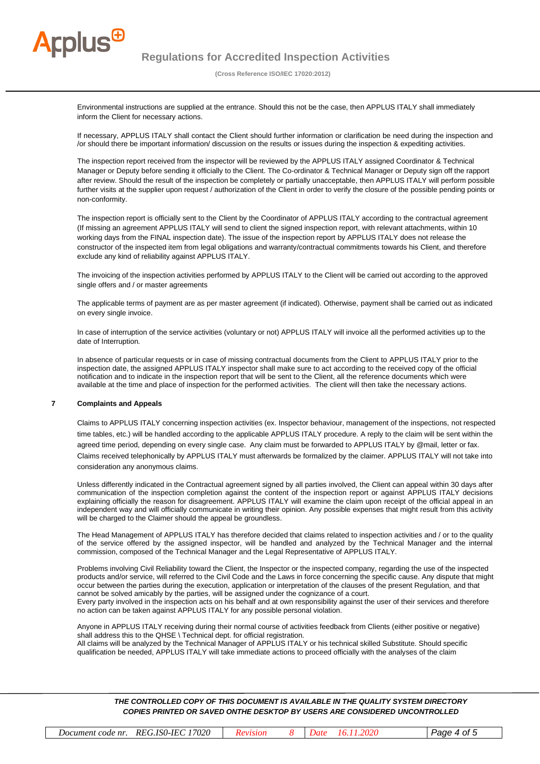

 **(Cross Reference ISO/IEC 17020:2012)** 

Environmental instructions are supplied at the entrance. Should this not be the case, then APPLUS ITALY shall immediately inform the Client for necessary actions.

If necessary, APPLUS ITALY shall contact the Client should further information or clarification be need during the inspection and /or should there be important information/ discussion on the results or issues during the inspection & expediting activities.

The inspection report received from the inspector will be reviewed by the APPLUS ITALY assigned Coordinator & Technical Manager or Deputy before sending it officially to the Client. The Co-ordinator & Technical Manager or Deputy sign off the rapport after review. Should the result of the inspection be completely or partially unacceptable, then APPLUS ITALY will perform possible further visits at the supplier upon request / authorization of the Client in order to verify the closure of the possible pending points or non-conformity.

The inspection report is officially sent to the Client by the Coordinator of APPLUS ITALY according to the contractual agreement (If missing an agreement APPLUS ITALY will send to client the signed inspection report, with relevant attachments, within 10 working days from the FINAL inspection date). The issue of the inspection report by APPLUS ITALY does not release the constructor of the inspected item from legal obligations and warranty/contractual commitments towards his Client, and therefore exclude any kind of reliability against APPLUS ITALY.

The invoicing of the inspection activities performed by APPLUS ITALY to the Client will be carried out according to the approved single offers and / or master agreements

The applicable terms of payment are as per master agreement (if indicated). Otherwise, payment shall be carried out as indicated on every single invoice.

In case of interruption of the service activities (voluntary or not) APPLUS ITALY will invoice all the performed activities up to the date of Interruption.

In absence of particular requests or in case of missing contractual documents from the Client to APPLUS ITALY prior to the inspection date, the assigned APPLUS ITALY inspector shall make sure to act according to the received copy of the official notification and to indicate in the inspection report that will be sent to the Client, all the reference documents which were available at the time and place of inspection for the performed activities. The client will then take the necessary actions.

# **7 Complaints and Appeals**

Claims to APPLUS ITALY concerning inspection activities (ex. Inspector behaviour, management of the inspections, not respected time tables, etc.) will be handled according to the applicable APPLUS ITALY procedure. A reply to the claim will be sent within the agreed time period, depending on every single case. Any claim must be forwarded to APPLUS ITALY by @mail, letter or fax. Claims received telephonically by APPLUS ITALY must afterwards be formalized by the claimer. APPLUS ITALY will not take into consideration any anonymous claims.

Unless differently indicated in the Contractual agreement signed by all parties involved, the Client can appeal within 30 days after communication of the inspection completion against the content of the inspection report or against APPLUS ITALY decisions explaining officially the reason for disagreement. APPLUS ITALY will examine the claim upon receipt of the official appeal in an independent way and will officially communicate in writing their opinion. Any possible expenses that might result from this activity will be charged to the Claimer should the appeal be groundless.

The Head Management of APPLUS ITALY has therefore decided that claims related to inspection activities and / or to the quality of the service offered by the assigned inspector, will be handled and analyzed by the Technical Manager and the internal commission, composed of the Technical Manager and the Legal Representative of APPLUS ITALY.

Problems involving Civil Reliability toward the Client, the Inspector or the inspected company, regarding the use of the inspected products and/or service, will referred to the Civil Code and the Laws in force concerning the specific cause. Any dispute that might occur between the parties during the execution, application or interpretation of the clauses of the present Regulation, and that cannot be solved amicably by the parties, will be assigned under the cognizance of a court.

Every party involved in the inspection acts on his behalf and at own responsibility against the user of their services and therefore no action can be taken against APPLUS ITALY for any possible personal violation.

Anyone in APPLUS ITALY receiving during their normal course of activities feedback from Clients (either positive or negative) shall address this to the QHSE \ Technical dept. for official registration.

All claims will be analyzed by the Technical Manager of APPLUS ITALY or his technical skilled Substitute. Should specific qualification be needed, APPLUS ITALY will take immediate actions to proceed officially with the analyses of the claim

| 17020<br>$ISO-$<br>IET<br>REG.<br>$\sim$ $\sim$<br>Ωt<br>code nr.<br>Docume<br>$n$ eni |
|----------------------------------------------------------------------------------------|
|----------------------------------------------------------------------------------------|